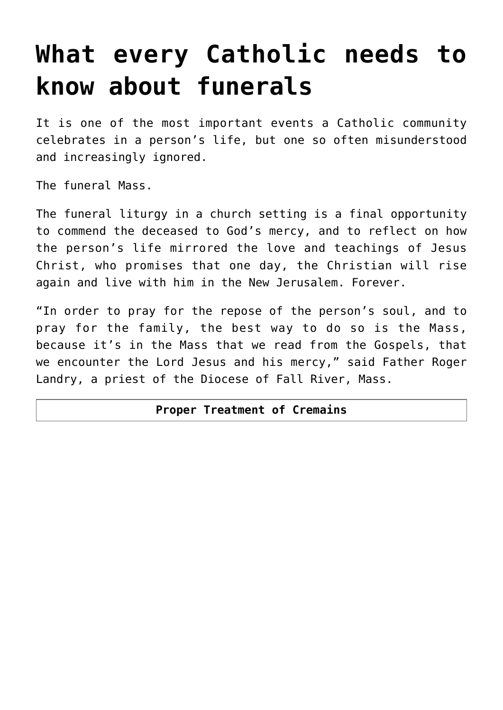# **[What every Catholic needs to](https://www.osvnews.com/2011/09/28/what-every-catholic-needs-to-know-about-funerals/) [know about funerals](https://www.osvnews.com/2011/09/28/what-every-catholic-needs-to-know-about-funerals/)**

It is one of the most important events a Catholic community celebrates in a person's life, but one so often misunderstood and increasingly ignored.

The funeral Mass.

The funeral liturgy in a church setting is a final opportunity to commend the deceased to God's mercy, and to reflect on how the person's life mirrored the love and teachings of Jesus Christ, who promises that one day, the Christian will rise again and live with him in the New Jerusalem. Forever.

"In order to pray for the repose of the person's soul, and to pray for the family, the best way to do so is the Mass, because it's in the Mass that we read from the Gospels, that we encounter the Lord Jesus and his mercy," said Father Roger Landry, a priest of the Diocese of Fall River, Mass.

#### **Proper Treatment of Cremains**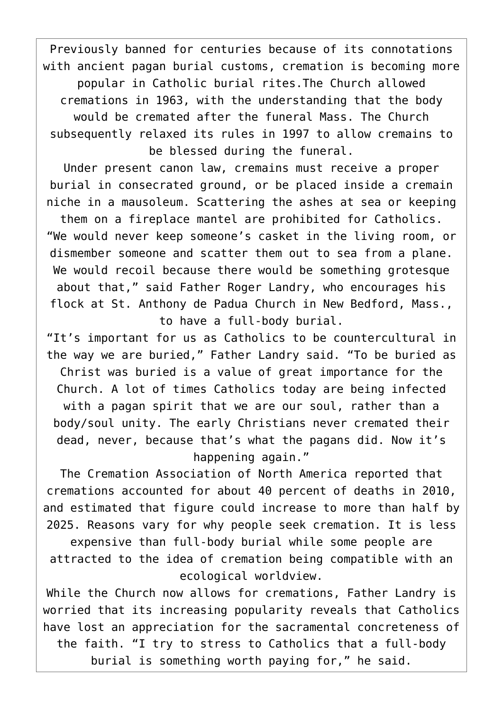Previously banned for centuries because of its connotations with ancient pagan burial customs, cremation is becoming more popular in Catholic burial rites.The Church allowed cremations in 1963, with the understanding that the body would be cremated after the funeral Mass. The Church subsequently relaxed its rules in 1997 to allow cremains to be blessed during the funeral.

Under present canon law, cremains must receive a proper burial in consecrated ground, or be placed inside a cremain niche in a mausoleum. Scattering the ashes at sea or keeping

them on a fireplace mantel are prohibited for Catholics. "We would never keep someone's casket in the living room, or dismember someone and scatter them out to sea from a plane. We would recoil because there would be something grotesque about that," said Father Roger Landry, who encourages his flock at St. Anthony de Padua Church in New Bedford, Mass., to have a full-body burial.

"It's important for us as Catholics to be countercultural in the way we are buried," Father Landry said. "To be buried as Christ was buried is a value of great importance for the Church. A lot of times Catholics today are being infected with a pagan spirit that we are our soul, rather than a body/soul unity. The early Christians never cremated their dead, never, because that's what the pagans did. Now it's happening again."

The Cremation Association of North America reported that cremations accounted for about 40 percent of deaths in 2010, and estimated that figure could increase to more than half by 2025. Reasons vary for why people seek cremation. It is less expensive than full-body burial while some people are attracted to the idea of cremation being compatible with an ecological worldview.

While the Church now allows for cremations, Father Landry is worried that its increasing popularity reveals that Catholics have lost an appreciation for the sacramental concreteness of the faith. "I try to stress to Catholics that a full-body burial is something worth paying for," he said.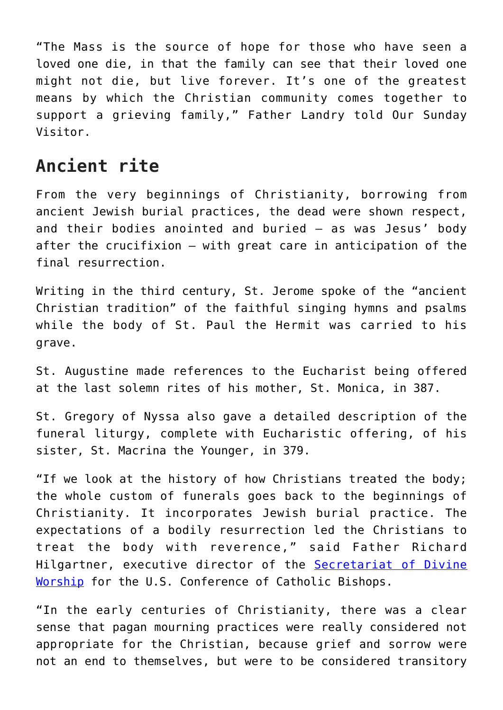"The Mass is the source of hope for those who have seen a loved one die, in that the family can see that their loved one might not die, but live forever. It's one of the greatest means by which the Christian community comes together to support a grieving family," Father Landry told Our Sunday Visitor.

#### **Ancient rite**

From the very beginnings of Christianity, borrowing from ancient Jewish burial practices, the dead were shown respect, and their bodies anointed and buried — as was Jesus' body after the crucifixion — with great care in anticipation of the final resurrection.

Writing in the third century, St. Jerome spoke of the "ancient Christian tradition" of the faithful singing hymns and psalms while the body of St. Paul the Hermit was carried to his grave.

St. Augustine made references to the Eucharist being offered at the last solemn rites of his mother, St. Monica, in 387.

St. Gregory of Nyssa also gave a detailed description of the funeral liturgy, complete with Eucharistic offering, of his sister, St. Macrina the Younger, in 379.

"If we look at the history of how Christians treated the body; the whole custom of funerals goes back to the beginnings of Christianity. It incorporates Jewish burial practice. The expectations of a bodily resurrection led the Christians to treat the body with reverence," said Father Richard Hilgartner, executive director of the [Secretariat of Divine](http://www.usccb.org/about/divine-worship/) [Worship](http://www.usccb.org/about/divine-worship/) for the U.S. Conference of Catholic Bishops.

"In the early centuries of Christianity, there was a clear sense that pagan mourning practices were really considered not appropriate for the Christian, because grief and sorrow were not an end to themselves, but were to be considered transitory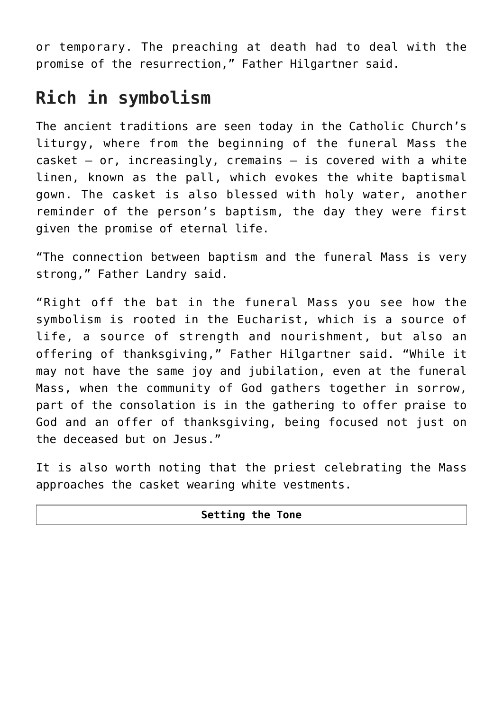or temporary. The preaching at death had to deal with the promise of the resurrection," Father Hilgartner said.

### **Rich in symbolism**

The ancient traditions are seen today in the Catholic Church's liturgy, where from the beginning of the funeral Mass the  $\text{cosket}$  - or, increasingly, cremains - is covered with a white linen, known as the pall, which evokes the white baptismal gown. The casket is also blessed with holy water, another reminder of the person's baptism, the day they were first given the promise of eternal life.

"The connection between baptism and the funeral Mass is very strong," Father Landry said.

"Right off the bat in the funeral Mass you see how the symbolism is rooted in the Eucharist, which is a source of life, a source of strength and nourishment, but also an offering of thanksgiving," Father Hilgartner said. "While it may not have the same joy and jubilation, even at the funeral Mass, when the community of God gathers together in sorrow, part of the consolation is in the gathering to offer praise to God and an offer of thanksgiving, being focused not just on the deceased but on Jesus."

It is also worth noting that the priest celebrating the Mass approaches the casket wearing white vestments.

| <b>Setting the Tone</b> |  |
|-------------------------|--|
|                         |  |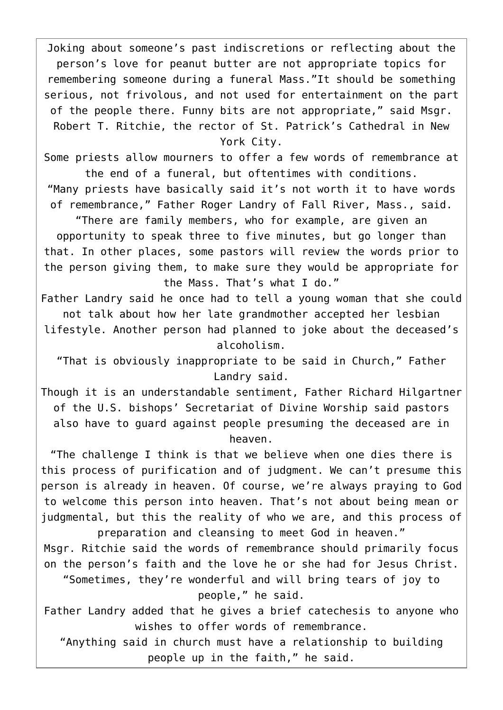Joking about someone's past indiscretions or reflecting about the person's love for peanut butter are not appropriate topics for remembering someone during a funeral Mass."It should be something serious, not frivolous, and not used for entertainment on the part of the people there. Funny bits are not appropriate," said Msgr. Robert T. Ritchie, the rector of St. Patrick's Cathedral in New York City.

Some priests allow mourners to offer a few words of remembrance at the end of a funeral, but oftentimes with conditions.

"Many priests have basically said it's not worth it to have words of remembrance," Father Roger Landry of Fall River, Mass., said.

"There are family members, who for example, are given an opportunity to speak three to five minutes, but go longer than that. In other places, some pastors will review the words prior to the person giving them, to make sure they would be appropriate for the Mass. That's what I do."

Father Landry said he once had to tell a young woman that she could not talk about how her late grandmother accepted her lesbian lifestyle. Another person had planned to joke about the deceased's alcoholism.

"That is obviously inappropriate to be said in Church," Father Landry said.

Though it is an understandable sentiment, Father Richard Hilgartner of the U.S. bishops' Secretariat of Divine Worship said pastors also have to guard against people presuming the deceased are in heaven.

"The challenge I think is that we believe when one dies there is this process of purification and of judgment. We can't presume this person is already in heaven. Of course, we're always praying to God to welcome this person into heaven. That's not about being mean or judgmental, but this the reality of who we are, and this process of

preparation and cleansing to meet God in heaven." Msgr. Ritchie said the words of remembrance should primarily focus on the person's faith and the love he or she had for Jesus Christ. "Sometimes, they're wonderful and will bring tears of joy to

people," he said.

Father Landry added that he gives a brief catechesis to anyone who wishes to offer words of remembrance.

"Anything said in church must have a relationship to building people up in the faith," he said.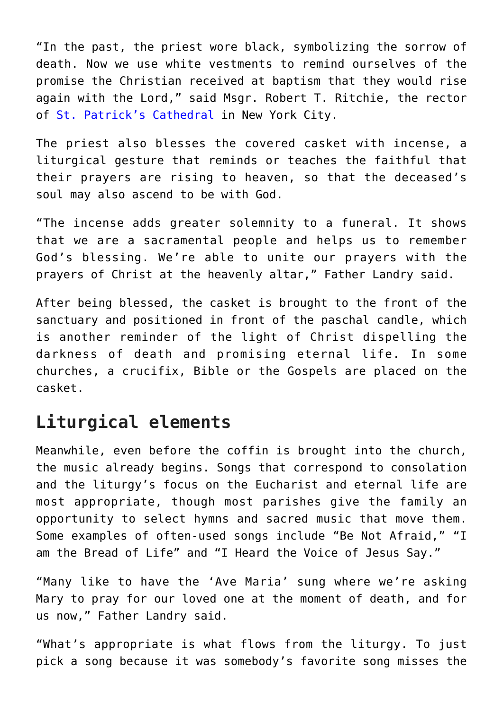"In the past, the priest wore black, symbolizing the sorrow of death. Now we use white vestments to remind ourselves of the promise the Christian received at baptism that they would rise again with the Lord," said Msgr. Robert T. Ritchie, the rector of [St. Patrick's Cathedral](http://www.saintpatrickscathedral.org/) in New York City.

The priest also blesses the covered casket with incense, a liturgical gesture that reminds or teaches the faithful that their prayers are rising to heaven, so that the deceased's soul may also ascend to be with God.

"The incense adds greater solemnity to a funeral. It shows that we are a sacramental people and helps us to remember God's blessing. We're able to unite our prayers with the prayers of Christ at the heavenly altar," Father Landry said.

After being blessed, the casket is brought to the front of the sanctuary and positioned in front of the paschal candle, which is another reminder of the light of Christ dispelling the darkness of death and promising eternal life. In some churches, a crucifix, Bible or the Gospels are placed on the casket.

#### **Liturgical elements**

Meanwhile, even before the coffin is brought into the church, the music already begins. Songs that correspond to consolation and the liturgy's focus on the Eucharist and eternal life are most appropriate, though most parishes give the family an opportunity to select hymns and sacred music that move them. Some examples of often-used songs include "Be Not Afraid," "I am the Bread of Life" and "I Heard the Voice of Jesus Say."

"Many like to have the 'Ave Maria' sung where we're asking Mary to pray for our loved one at the moment of death, and for us now," Father Landry said.

"What's appropriate is what flows from the liturgy. To just pick a song because it was somebody's favorite song misses the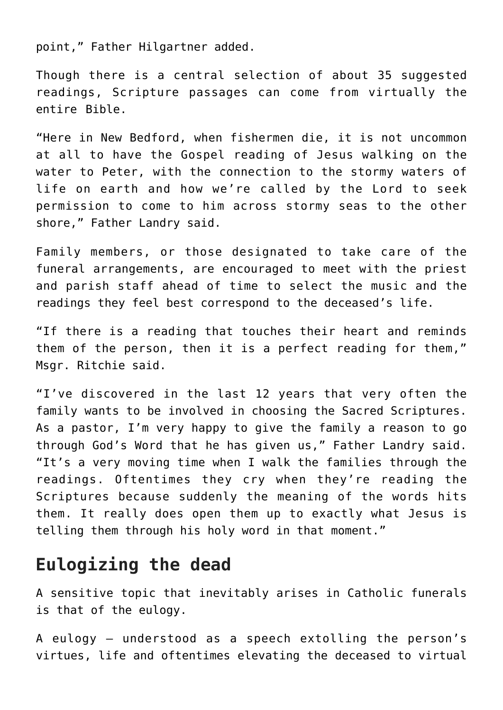point," Father Hilgartner added.

Though there is a central selection of about 35 suggested readings, Scripture passages can come from virtually the entire Bible.

"Here in New Bedford, when fishermen die, it is not uncommon at all to have the Gospel reading of Jesus walking on the water to Peter, with the connection to the stormy waters of life on earth and how we're called by the Lord to seek permission to come to him across stormy seas to the other shore," Father Landry said.

Family members, or those designated to take care of the funeral arrangements, are encouraged to meet with the priest and parish staff ahead of time to select the music and the readings they feel best correspond to the deceased's life.

"If there is a reading that touches their heart and reminds them of the person, then it is a perfect reading for them," Msgr. Ritchie said.

"I've discovered in the last 12 years that very often the family wants to be involved in choosing the Sacred Scriptures. As a pastor, I'm very happy to give the family a reason to go through God's Word that he has given us," Father Landry said. "It's a very moving time when I walk the families through the readings. Oftentimes they cry when they're reading the Scriptures because suddenly the meaning of the words hits them. It really does open them up to exactly what Jesus is telling them through his holy word in that moment."

## **Eulogizing the dead**

A sensitive topic that inevitably arises in Catholic funerals is that of the eulogy.

A eulogy — understood as a speech extolling the person's virtues, life and oftentimes elevating the deceased to virtual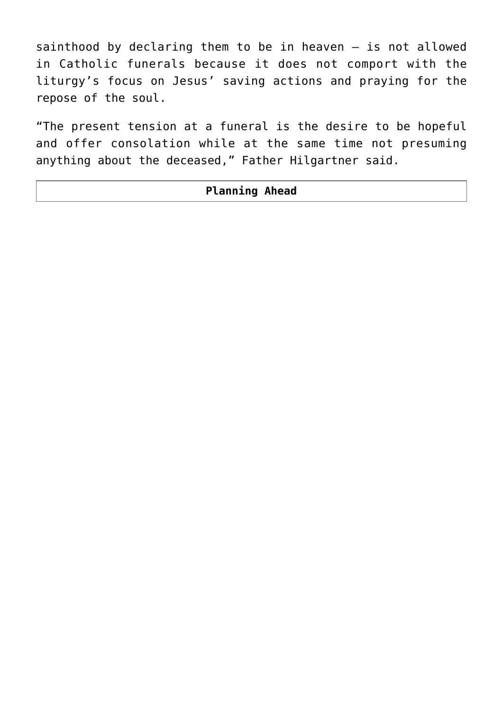sainthood by declaring them to be in heaven — is not allowed in Catholic funerals because it does not comport with the liturgy's focus on Jesus' saving actions and praying for the repose of the soul.

"The present tension at a funeral is the desire to be hopeful and offer consolation while at the same time not presuming anything about the deceased," Father Hilgartner said.

#### **Planning Ahead**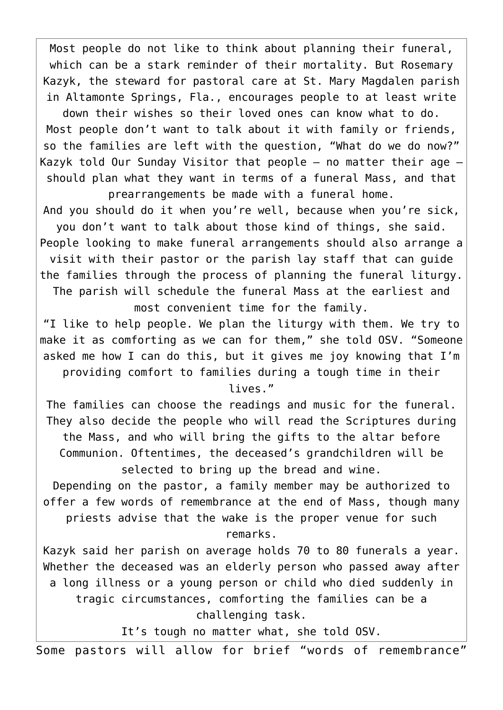Most people do not like to think about planning their funeral, which can be a stark reminder of their mortality. But Rosemary Kazyk, the steward for pastoral care at St. Mary Magdalen parish in Altamonte Springs, Fla., encourages people to at least write

down their wishes so their loved ones can know what to do. Most people don't want to talk about it with family or friends, so the families are left with the question, "What do we do now?" Kazyk told Our Sunday Visitor that people  $-$  no matter their age  $$ should plan what they want in terms of a funeral Mass, and that prearrangements be made with a funeral home.

And you should do it when you're well, because when you're sick, you don't want to talk about those kind of things, she said. People looking to make funeral arrangements should also arrange a visit with their pastor or the parish lay staff that can guide the families through the process of planning the funeral liturgy.

The parish will schedule the funeral Mass at the earliest and most convenient time for the family.

"I like to help people. We plan the liturgy with them. We try to make it as comforting as we can for them," she told OSV. "Someone asked me how I can do this, but it gives me joy knowing that I'm providing comfort to families during a tough time in their lives."

The families can choose the readings and music for the funeral. They also decide the people who will read the Scriptures during the Mass, and who will bring the gifts to the altar before Communion. Oftentimes, the deceased's grandchildren will be

selected to bring up the bread and wine. Depending on the pastor, a family member may be authorized to offer a few words of remembrance at the end of Mass, though many priests advise that the wake is the proper venue for such remarks.

Kazyk said her parish on average holds 70 to 80 funerals a year. Whether the deceased was an elderly person who passed away after a long illness or a young person or child who died suddenly in tragic circumstances, comforting the families can be a challenging task.

It's tough no matter what, she told OSV.

Some pastors will allow for brief "words of remembrance"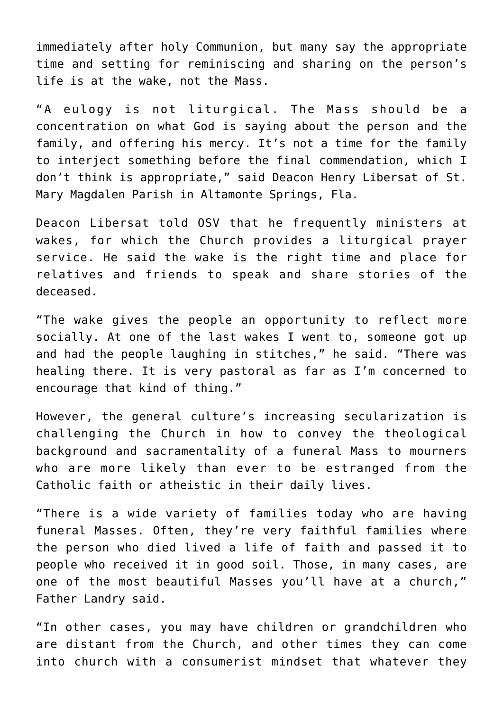immediately after holy Communion, but many say the appropriate time and setting for reminiscing and sharing on the person's life is at the wake, not the Mass.

"A eulogy is not liturgical. The Mass should be a concentration on what God is saying about the person and the family, and offering his mercy. It's not a time for the family to interject something before the final commendation, which I don't think is appropriate," said Deacon Henry Libersat of St. Mary Magdalen Parish in Altamonte Springs, Fla.

Deacon Libersat told OSV that he frequently ministers at wakes, for which the Church provides a liturgical prayer service. He said the wake is the right time and place for relatives and friends to speak and share stories of the deceased.

"The wake gives the people an opportunity to reflect more socially. At one of the last wakes I went to, someone got up and had the people laughing in stitches," he said. "There was healing there. It is very pastoral as far as I'm concerned to encourage that kind of thing."

However, the general culture's increasing secularization is challenging the Church in how to convey the theological background and sacramentality of a funeral Mass to mourners who are more likely than ever to be estranged from the Catholic faith or atheistic in their daily lives.

"There is a wide variety of families today who are having funeral Masses. Often, they're very faithful families where the person who died lived a life of faith and passed it to people who received it in good soil. Those, in many cases, are one of the most beautiful Masses you'll have at a church," Father Landry said.

"In other cases, you may have children or grandchildren who are distant from the Church, and other times they can come into church with a consumerist mindset that whatever they